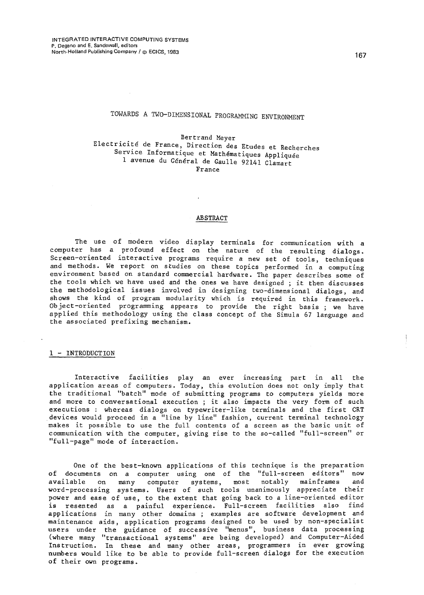# TOWARDS A TWO-DIMENSIONAL PROGRAMMING ENVIRONMENT

Bertrand Meyer Electricité de France, Direction des Etudes et Recherches<br>Service Informatique et Mathématiques Appliquée 1 avenue du General de Gaulle 92141 Clamart France

#### ABSTRACT

The use of modern video display terminals for communication with a computer has *a* profound effect on the nature of the resulting dialogs. Screen-oriented interactive programs require a new set of tools, techniques and methods. We report on studies on these topics performed in a computing environment based on standard commercial hardware. The paper describes some of the tools which we have used and the ones we have designed ; it then discusses the methodological issues involved in designing two-dimensional dialogs, and shows the kind of program modularity which is required in this framework. Object-oriented programming appears to provide the right basis ; we have applied this methodology using the class concept of the Simula 67 language and the associated prefixing mechanism.

#### 1 - INTRODUCTION

Interactive facilities play an ever increasing part in all the application areas of computers. Today, this evolution does not only imply that the traditional "batch" mode of submitting programs to computers yields more and more to conversational execution; it also impacts the very form of such executions : whereas dialogs on typewriter-like terminals and the first CRT . devices would proceed in a "line by line" fashion, current terminal technology makes it possible to use the full contents of a screen as the basic unit of communication with the computer, giving rise to the so-called "full-screen" or "full-page" mode of interaction.

One of the best-known applications of this technique is the preparation of documents on a computer using one of the "full-screen editors" now available on many computer systems, most notably mainframes and word-processing systems. Users of such tools unanimously appreciate their power and ease of use, to the extent that going back to a line-oriented editor .<br>is resented as a painful experience. Full-screen facilities also find applications in many other domains ; examples *are* software development and maintenance aids, application programs designed to be used by non-specialist users under the guidance of successive "menus", business data processing (where many "transactional systems" are being developed) and Computer-Aided Instruction. In these and many other areas, programmers in ever growing numbers would like to be able to provide full-screen dialogs for the execution of their own programs.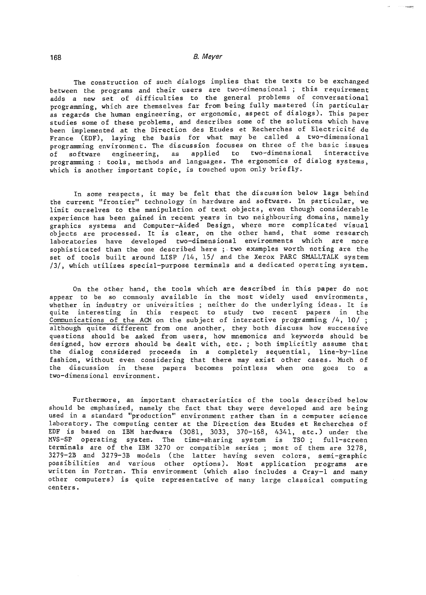The construction of such dialogs implies that the texts to be exchanged between the programs and their users are two-dimensional ; this requirement adds a new set of difficulties to the general problems of conversational programming, which are themselves far from being fully mastered (in particular as regards the human engineering, or ergonomic, aspect of dialogs). This paper studies some of these problems, and describes some of the solutions which have been implemented at the Direction des Etudes et Recherches of Electricite de France (EDF), laying the basis for what may be called a two-dimensional programming environment. The discussion focuses on three of the basic issues<br>of software engineering, as applied to two-dimensional interactive of software engineering, as applied programming: tools, methods and languages. The ergonomics of dialog systems, which is another important topic, is touched upon only briefly.

In some respects, it may be felt that the discussion below lags behind the current "frontier" technology in hardware and software. In particular, we limit ourselves to the manipulation of text objects, even though considerable experience has been gained in recent years in two neighbouring domains, namely graphics systems and Computer-Aided Design, where more complicated visual objects are processed. It is clear, on the other hand, that some research laboratories have developed two-dimensional environments which are more sophis tica ted than the one described here ;. two examples worth noting are the set of tools built around LISP /14, 15/ and the Xerox PARC SMALLTALK system /3/, which utilizes special-purpose terminals and a dedicated operating system.

On the other hand, the tools which are described in this paper do not appear to be so commonly available in the most widely used environments, appear to be so commonly available in the mose widely used environments, quite interesting in this respect to study two recent papers in the Communications of the ACM on the subject of interactive programming /4, 10/ ; although quite different from one another, they both discuss how successive questions should be asked from users, how mnemonics and keywords should be designed, how errors should be dealt with, etc. ; both implicitly assume that the dialog considered proceeds in a completely sequential, line-by-line fashion, without even considering that there may exist other cases. Much of the discussion in these papers becomes pointless when one goes to a two-dimensional environment.

Furthermore, an important characteristics of the tools described below should be emphasized, namely the fact that they were developed and are being used in a standard "production" environment rather than in a computer science laboratory. The computing center at the Direction des Etudes et Recherches of EDF is based on IBM hardware (3081, 3033, 370-168, 4341, etc.) under the<br>MVS-SP operating system. The time-sharing system is TSO: full-screen operating system. The time-sharing system is TSO; full-screen terminals are of the IBM 3270 or compatible series; most of them are 3278, 3279-2B and 3279-3B models (the latter having seven colors, semi-graphic possibilities and various other options). Most application programs are written in Fortran. This environment (which also includes a Cray-l and many other computers) is quite representative of many large classical computing centers.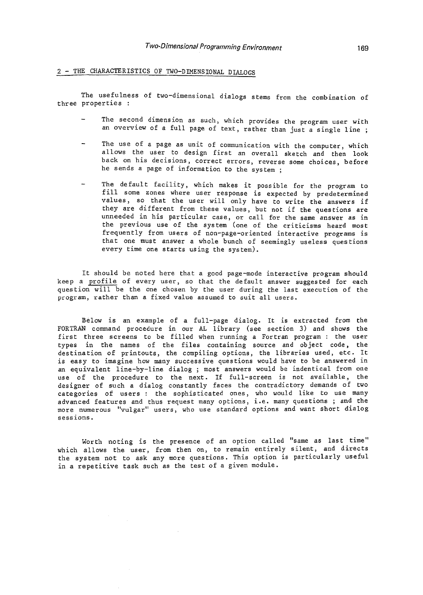## 2 - THE CHARACTERISTICS OF TWO-DIMENSIONAL DIALOGS

The usefulness of two-dimensional dialogs stems from the combination of three properties :

- The second dimens ion as such, which provides the program user with an overview of a full page of text, rather than just a single line;
- The use of a page as unit of communication with the computer, which allows the user to design first an overall sketch and then look back on his decisions, correct errors, reverse some choices, before he sends a page of information to the system;
- The default facility, which makes it possible for the program to fill some zones where user response is expected by predetermined values, so that the user will only have to write the answers if they are different from these values, but not if the questions are unneeded in his particular case, or call for the same answer as in the previous use of the system (one of the criticisms heard most frequently from users of non-page-oriented interactive programs is that one must answer a whole bunch of seemingly useless ques tions every time one starts using the system).

It should be noted here that a good page-mode interactive program should keep a profile of every user, so that the default answer suggested for each question will be the one chosen by the user during the last execution of the program, rather than a fixed value assumed to suit all users.

Below is an example of a full-page dialog. It is extracted from the FORTRAN command procedure in our AL library (see section 3) and shows the first three screens to be filled when running a Fortran program : the user types in the names of the files containing source and object code. the destination of printouts, the compiling options, the libraries used, etc. It is easy to imagine how many successive questions would have to be answered in an equivalent line-by-line dialog ; most answers would be indentical from one use of the procedure to the next. If full-screen is not available, the designer of such a dialog constantly faces the contradictory demands of two categories of users : the sophisticated ones, who would like to use many advanced features and thus request many options, i.e. many questions; and the more numerous "vulgar" users, who use standard options and want short dialog sessions.

Worth noting is the presence of an option called "same as last time" which allows the user, from then on, to remain entirely silent, and directs the system not to ask any more questions. This option is particularly useful in a repetitive task such as the test of a given module.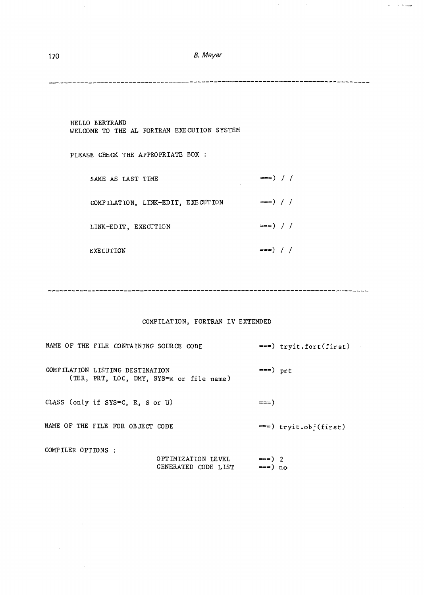$\langle \phi, \cdot \rangle = \langle \phi, \cdot \rangle$  (single

**-------------------------------------------------------------------------------**

| HELLO BERTRAND<br>WELCOME TO THE AL FORTRAN EXECUTION SYSTEM |                         |
|--------------------------------------------------------------|-------------------------|
| PLEASE CHECK THE APPROPRIATE BOX:                            |                         |
| SAME AS LAST TIME<br>$\sim$                                  | $=$ = $\rightarrow$ / / |
| COMPILATION, LINK-EDIT, EXECUTION                            | $=$ ==) / /             |
| LINK-EDIT, EXECUTION                                         | $=$ = $\frac{1}{2}$ / / |
| EXECUTION                                                    | $==)$ / /               |

# COMPILATION, FORTRAN IV EXTENDED

| NAME OF THE FILE CONTAINING SOURCE CODE                                     |                                           |                     | $==)$ tryit.fort(first) |
|-----------------------------------------------------------------------------|-------------------------------------------|---------------------|-------------------------|
| COMPILATION LISTING DESTINATION<br>(TER, PRT, LOC, DMY, SYS=x or file name) |                                           | $==)$ prt           |                         |
| CLASS (only if SYS=C, R, S or U)                                            |                                           | $==)$               |                         |
| NAME OF THE FILE FOR OBJECT CODE                                            |                                           |                     | $==)$ tryit.obj(first)  |
| COMPILER OPTIONS :                                                          | OPTIMIZATION LEVEL<br>GENERATED CODE LIST | $==) 2$<br>$==)$ no |                         |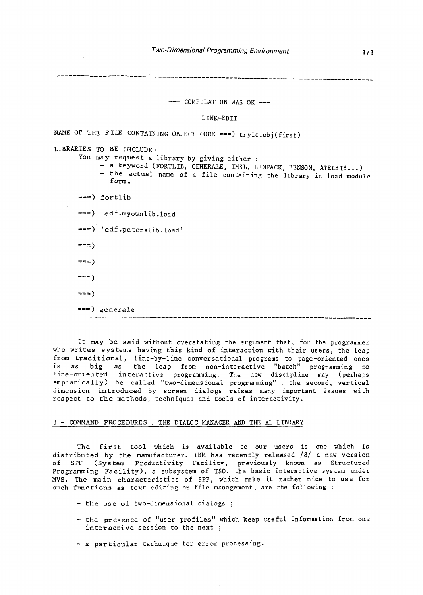**-------------------------------------------------------------------------------**

--- COMPILATION WAS OK ---

LINK-EDIT

NAME OF THE FILE CONTAINING OBJECT CODE ===) tryit.obj(first) LIBRARIES TO BE INCLUDED You may request a library by giving either : - a keyword (FORTLIB, GENERALE, IMSL, LINPACK, BENSON, ATELBIB...) - the actual name of a file containing the library in load module form.  $==$ ) fortlib ===) 'edf.myownlib.load' ===)  $'$ edf.peterslib.load'  $==$  $==$  $==)$  $==)$  $==$ ) generale **-------------------------------------------------------------------------------**

It may be said without overstating the argument that, for the programmer who writes systems having this kind of interaction with their users, the leap from traditional, line-by-line conversational programs to page-oriented ones is as big as the leap from non-interactive "batch" programming to line-oriented interactive programming. The new discipline may (perhaps emphatically) be called "two-dimensional programming" ; the second, vertical dimension introduced by screen dialogs raises many important issues with respect to the methods, techniques and tools of interactivity.

### 3 - COMMAND PROCEDURES THE DIALOG MANAGER AND THE AL LIBRARY

The first tool which is available to our users is one which is distributed by the manufacturer. IBM has recently released /8/ a new version of SPF (System Productivity Facility, previously known as Structured Programming Facility), a subsystem of TSO, the basic interactive system under MVS. The main characteristics of SPF, which make it rather nice to use for such functions as text editing or file management, are the following :

- the use of two-dimensional dialogs ;

- the presence of "user profiles" which keep useful information from one interactive session to the next
- a particular technique for error processing.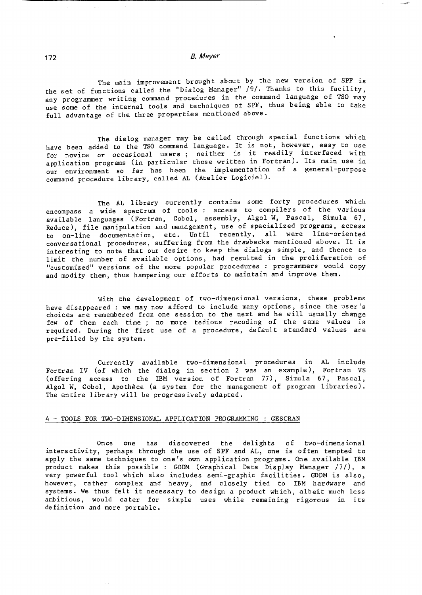------------------------------------------

The main improvement brought about by the new version of SPF is the set of functions called the "Dialog Manager" /9/. Thanks to this facility, any programmer writing command procedures in the command language of TSO may use some of the internal tools and techniques of SPF, thus being able to take full advantage of the three properties mentioned above.

The dialog manager may be called through special functions which have been added to the TSO command language. It is not, however, easy to use for novice or occasional users; neither is it readily interfaced with application programs (in particular those written in Fortran). Its main use in our environment so far has been the implementation of a general-purpose command procedure library, called AL (Atelier Logiciel).

The AL library currently contains some forty procedures which encompass a wide spectrum of tools : access to compilers of the various available languages (Fortran, Cobol, assembly, Algol W, Pascal, Simula 67, Reduce), file manipulation and management, use of specialized programs, access to on-line documentation, etc. Until recently, all were line-oriented conversa tional procedures, suffering from the drawbacks mentioned above. It is interesting to note that our desire to keep the dialogs simple, and thence to limit the number of available options, had resulted in the proliferation of "customized" versions of the more popular procedures : programmers would copy and modify them, thus hampering our efforts to maintain and improve them.

With the development of two-dimensional versions, these problems have disappeared : we may now afford to include many options, since the user's choices are remembered from one session to the next and he will usually change few of them each time ; no more tedious recoding of the same values is required. During the first use of a procedure, default standard values are pre-filled by the system.

Currently available two-dimensional procedures in AL include Fortran IV (of which the dialog in section 2 was an example), Fortran VS (offering access to the IBM version of Fortran 77), Simula 67, Pascal, Algol W, Cobol, Apothèce (a system for the management of program libraries). The entire library will be progressively adapted.

#### 4 - TOOLS FOR TWO-DIMENSIONAL APPLICATION PROGRAMMING : GESCRAN

Once one has discovered the delights of two-dimensional interactivity, perhaps through the use of SPF and AL, one is often tempted to apply the same techniques to one's own application programs. One available IBM product makes this possible : GDDM (Graphical Data Display Manager /7/), a very powerful tool which also includes semi-graphic facilities. GDDM is also, however, rather complex and heavy, and closely tied to IBM hardware and systems. We thus felt it necessary to design a product which, albeit much less ambitious, would cater for simple uses while remaining rigorous in its definition and more portable.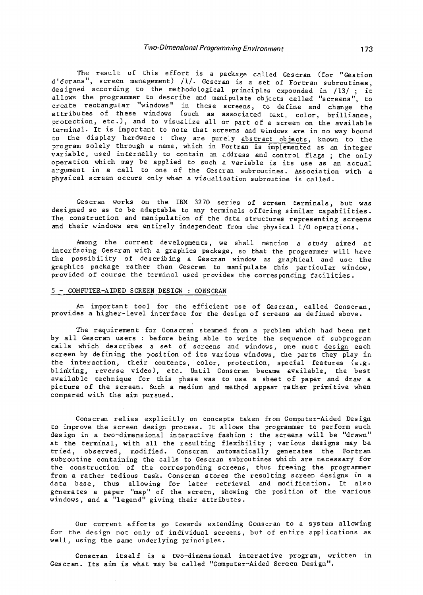The result of this effort is a package called Gescran (for "Gestion d'ecrans", screen management) /1/. Gescran is a set of Fortran subroutines, designed according to the methodological principles expounded in /13/; it allows the programmer to describe and manipulate objects called "screens", to allows the programmer to describe and manipulate objects called "screens" create rectangular "windows" in these screens, to define and change the attributes of these windows (such as associated text, color, brilliance, protection, etc.), and to visualize all or part of a screen on the available terminal. It is important to note that screens and windows are in no way bound to the display hardware: they are purely abstract objects, known to the program solely through a name, which in Fortran is implemented as an integer variable, used internally to contain an address and control flags; the only operation which may be applied to such a variable is its use as an actual argument in a call to one of the Gescran subroutines. Association with a physical screen occurs only when a visualisation subroutine is called.

Gescran works on the IBM 3270 series of screen terminals, but was designed so as to be adaptable to any terminals offering similar capabilities. The construction and manipulation of the data structures representing screens and their windows are entirely independent from the physical I/O operations.

Among the current developments, we shall mention a study aimed at interfacing Gescran with a graphics package, so that the programmer will have the possibility of describing a Gescran window as graphical and use the graphics package rather than Gescran to manipulate this particular window, provided of course the terminal used provides the corresponding facilities.

#### 5 - COMPUTER-AIDED SCREEN DESIGN : OONSCRAN

An important tool for the efficient use of Gescran, called Conscran, provides a higher-level interface for the design of screens as defined above.

The requirement for Conscran stennned from a problem which had been met by all Gescran users : before being able to write the sequence of subprogram calls which describes a set of screens and windows, one must design each screen by defining the position of its various windows, the parts they play in the interaction, their contents, color, protection, special features (e.g. blinking, reverse video), etc. Until Conscran became available, the best available technique for this phase was to use a sheet of paper and draw a picture of the screen. Such a medium and method appear rather primitive when compared with the aim pursued.

Conscran relies explicitly on concepts taken from Computer-Aided Design to improve the screen design process. It allows the programmer to perform such design in a two-dimensional interactive fashion: the screens will be "drawn" at the terminal, with all the resulting flexibility; various designs may be tried, observed, modified. Conscran automatically generates the Fortran subroutine containing the calls to Gescran subroutines which are necessary for the construction of the corresponding screens, thus freeing the programmer from a rather tedious task. Conscran stores the resulting screen designs in a data base, thus allowing for later retrieval and modification. It also generates a paper "map" of the screen, showing the position of the various windows, and a "legend" giving their attributes.

Our current efforts go towards extending Conscran to a system allowing for the design not only of individual screens, but of entire applications as well, using the same underlying principles.

Conscran itself is a two-dimensional interactive program, written in Gescran. Its aim is what may be called "Computer-Aided Screen Design".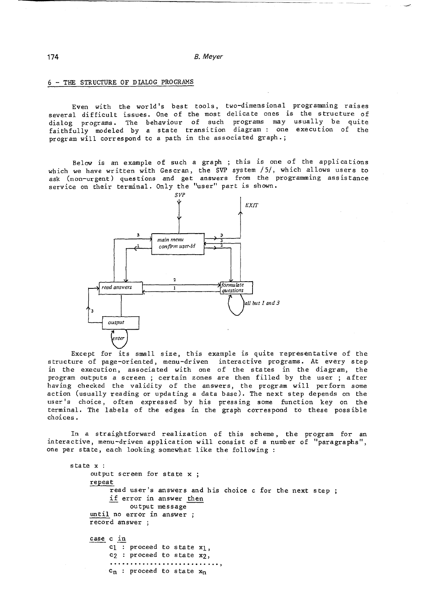### 6 - THE STRUCTURE OF DIALOG PROGRAMS

Even with the world's best tools, two-dimensional programming raises several difficult issues. One of the most delicate ones is the structure of dialog programs. The behaviour of such programs may usually be quite faithfully modeled by a state transition diagram: one execution of the program will correspond to a path in the associated graph.;

Below is an example of such a graph ; this is one of the applications which we have written with Gescran, the SVP system /5/, which allows users to ask (non-urgent) questions and get answers from the programming assistance service on their terminal. Only the "user" part is shown.



Except for its small size, this example is quite representative of the structure of page-oriented, menu-driven interactive programs. At every step in the execution, associated with one of the states in the diagram, the program outputs a screen; certain zones are then filled by the user ; after having checked the validity of the answers, the program will perform some action (usually reading or updating a data base). The next step depends on the user's choice, often expressed by his pressing some function key on the terminal. The labels of the edges in the graph correspond to these possible choices.

In a straightforward realization of this scheme, the program for an interactive, menu-driven application will consist of a number of "paragraphs", one per state, each looking somewhat like the following:

```
s tate x : 
     output screen for state x;
     repeat 
          read user's answers and his choice c for the next step;
          if error in answer then 
               output message 
     until no error in answer ; 
     record answer 
     case c in 
          c_1 : proceed to state x_1,
          c2 : proceed to state X2, 
          ........................... , c_n : proceed to state x_n
```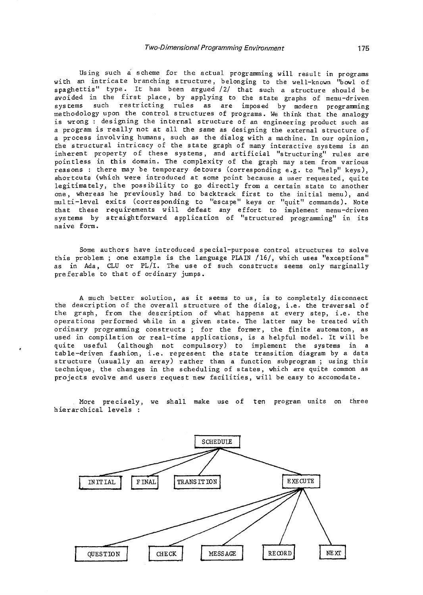Using such a scheme for the actual programming will result in programs with an intricate branching structure, belonging to the well-known ''bowl of spaghettis" type. It has been argued /2/ that such a structure should be avoided in the first place, by applying to the state graphs of menu-driven systems such restricting rules as are imposed by modern programming methodology upon the control structures of programs. We think that the analogy is wrong : designing the internal structure of an engineering product such as a program is really not at all the same as designing the external structure of a process involving humans, such as the dialog with a machine. In our opinion, the structural intricacy of the state graph of many interactive systems is an inherent property of these systems, and artificial "structuring" rules are pointless in this domain. The complexity of the graph may stem from various reasons: there may be temporary detours (corresponding e.g. to "help" keys), shortcuts (which were introduced at some point because a user requested, quite legitimately, the possibility to go directly from a certain state to another one, whereas he previously had to backtrack first to the initial menu), and multi-level exits (corresponding to "escape" keys or "quit" commands). Note that these requirements will defeat any effort to implement menu-driven systems by straightforward application of "structured programming" in its naive form.

Some authors have introduced special-purpose control structures to solve this problem; one example is the language PlAIN /16/, which uses "exceptions" as in Ada, CLU or PL/I. The use of such constructs seems only marginally preferable to that of ordinary jumps.

A much better solution, as it seems to us, is to completely disconnect the description of the overall structure of the dialog, i.e. the traversal of the graph, from the description of what happens at every step, i.e. the operations performed while in a given state. The latter may be treated with ordinary programming constructs ; for the former, the finite automaton, as used in compilation or real-time applications, is a helpful model. It will be quite useful (although not compulsory) to implement the systems in a table-driven fashion, i.e. represent the state transition diagram by a data structure (usually an array) rather than a function subprogram; using this te chnique, the changes in the scheduling of states, which are quite common as projects evolve and users request new facilities, will be easy to accomodate.

More precisely, we shall make use of ten program units on three hierarchical levels :

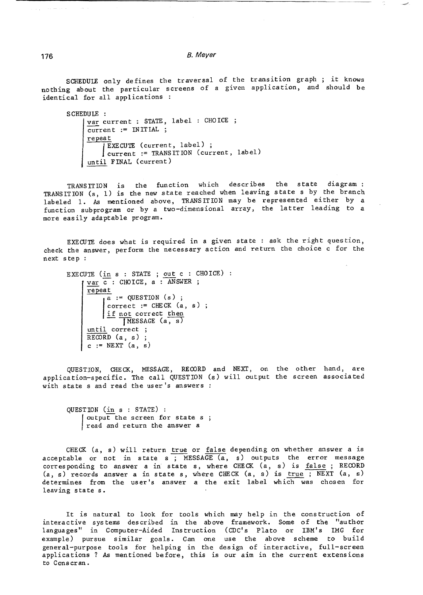SCHEDUlE only defines the traversal of the transition graph ; it knows nothing about the particular screens of a given application, and should be identical for all applications :

```
SCHEDUlE : 
     var current : STATE, label : CHOICE ;
     \overline{\text{current}} := \text{INITIAL};
     repeat 
          J
current := TRANSITION (current, 
label) 
           EXECUTE (current, label) ; 
      until FINAL (current)
```
TRANSITION is the function which describes the state diagram: TRANSITION (s, l) is the new state reached when leaving state s by the branch labeled 1. As mentioned above, TRANS IT ION may be represented either by a function subprogram or by a two-dimensional array, the latter leading to a more easily adaptable program.

EXECUTE does what is required in a given state: ask the right question, check the answer, perform the necessary action and return the choice c for the next step

```
EXECUTE (in s : STATE ; out c : CHOICE) :
     var c: CHOICE, a : ANSWER ;
     repeat 
          \frac{1 \text{ if not correct}}{\text{IWresaCF}} (a)
          a := QUESTION (s) ;
           correct := CHECK(a, s);MESSAGE (a, s)until correct;
     RECORD (a, s);c := \text{NEXT}(a, s)
```
QUESTION, CHECK, MESSAGE, REOORD and NEXT, on the other hand, are applica tion-speci fic. The call QUESTION (s) will output the screen associa ted with state s and read the user's answers :

QUESTION (in s : STATE) : output the screen for state s<br>read and return the answer a

CHECK (a, s) will return true or false depending on whether answer a is acceptable or not in state s ; MESSAGE  $(a, s)$  outputs the error message corresponding to answer a in state s, where CHECK (a, s) is false; RECORD  $(a, s)$  records answer a in state s, where CHECK  $(a, s)$  is true ; NEXT  $(a, s)$ determines from the user's answer a the exit label which was chosen for leaving state s.

It is natural to look for tools which may help in the construction of interactive systems described in the above framework. Some of the "author languages" in Computer-Aided Instruction (CDC's Plato or IBM's IMG for example) pursue similar goals. Can one use the above scheme to build general-purpose tools for helping in the design of interactive, full-screen applications? As mentioned before, this is our aim in the current extensions to Cons cran.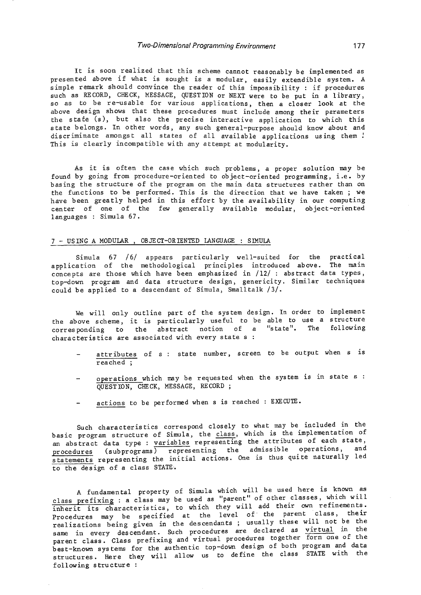#### Two-Dimensional Programming Environment 177

It is soon realized that this scheme cannot reasonably be implemented as presented above if what is sought is a modular, easily extendible system. A simple remark should convince the reader of this impossibility: if procedures such as RECORD, CHECK, MESSAGE, QUESTION or NEXT were to be put in a library, so as to be re-usable for various applications, then a closer look at the above design shows that these procedures must include among their parameters the state (s), but also the precise interactive application to which this state belongs. In other words, any such general-purpose should know about and discriminate amongst all states of all available applications using them ! This is clearly incompatible with any attempt at modularity.

As it is often the case which such problems, a proper solution may be found by going from procedure-oriented to object-oriented programming, i.e. by bas ing the structure of the program on the main data structures rather than on the functions to be performed. This is the direction that we have taken; we have been greatly helped in this effort by the availability in our computing center of one of the few generally available modular, object-oriented languages: Simula 67.

### 7 - USING A MODULAR, OBJECT-ORIENTED LANGUAGE : SIMULA

Simula 67 /6/ appears particularly well-suited for the practical application of the methodological principles introduced above. The main concepts are those which have been emphasized in /12/: abstract data types, top-down program and data structure design, genericity. Similar techniques could be applied to a descendant of Simula, Smalltalk /3/.

We will only outline part of the system design. In order to implement the above scheme, it is particularly useful to be able to use a structure corresponding to the abstract notion of a "state". The following characteristics are associated with every state s

- attributes of s: state number, screen to be output when s is reached ;
- operations which may be requested when the system is in state s QUESTION, CHECK, MESSAGE, RECORD;
- actions to be performed when s is reached : EXECUTE.

Such characteris tics correspond closely to what may be included in the basic program structure of Simula, the class, which is the implementation of an abstract data type : variables representing the attributes of each state, procedures (subprograms) representing the admissible operations, and statements representing the initial actions. One is thus quite naturally led to the design of a class STATE.

A fundamental property of Simula which will be used here is known as class prefixing: a class may be used as "parent" of other classes, which will inherit its characteris tics, to wh ich they will add their own refinements. Procedures may be specified at the level of the parent class, their realizations being given in the descendants ; usually these will not be the same in every descendant. Such procedures are declared as virtual in the parent class. Class prefixing and virtual procedures together form one of the best-known systems for the authentic top-down design of both program and data structures. Here they will allow us to define the class STATE with the following structure: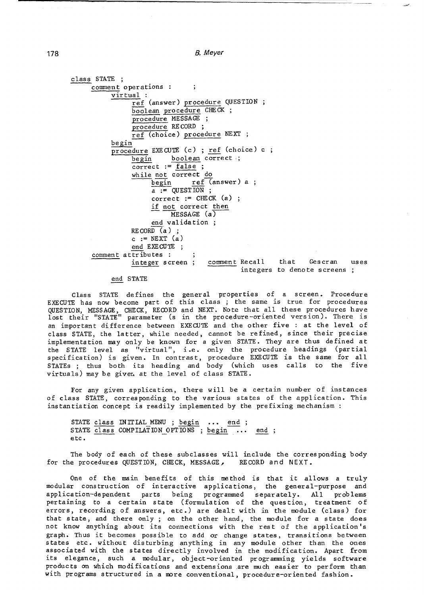```
class STATE ; 
     comment operations 
                                \ddot{\phantom{1}}virtual : 
                ref (answer) procedure QUESTION 
                boolean procedure CHECK ;
                procedure MESSAGE ; 
                procedure RECORD ; 
                ref (choice) procedure NEXT ; 
          begin
          procedure EXECUTE (c) ; ref (choice) c ;
                begin boolean correct;
                correct := false ; 
                while not correct do 
                     begin{min} ref (answer) a;
                     a := QUESTION ;
                     correct := CHECK (a);
                     if not correct then 
                          MESSAGE (a)
                     end validation 
                RECORD (a);
                c := NEXT (a)end EXECUTE ; 
     comment attributes : ;<br>integer screen;
                                    comment Recall that Gescran
                                                                          uses 
                                             integers to denote screens ;
```
#### end STATE

Class STATE defines the general properties of a screen. Procedure EXECUTE has now become part of this class ; the same is true for procedures QUESTION, MESSAGE, CHECK, RECORD and NEXT. Note that all these procedures have lost their "STATE" parameter (s in the procedure-oriented vers ion). There is an important difference between EXECUTE and the other five : at the level of class STATE, the latter, while needed, cannot be refined, since their precise implementation may only be known for a given STATE. They are thus defined at the STATE level as "virtual", i.e. only the procedure headings (partial specification) is given. In contrast, procedure EXECUTE is the same for all STATEs ; thus both its heading and body (which uses calls to the five virtuals) may be giver. at the level of class STATE.

For any given application, there will be a certain number of instances of class STATE, corresponding to the various states of the application. This instantiation concept is readily implemented by the prefixing mechanism:

STATE class INITIAL\_MENU ; begin ... end ; STATE class COMPILATION OPTIONS ; begin ... end ; etc.

The body of each of these subclasses will include the corresponding body for the procedures QUESTION, CHECK, MESSAGE, RECORD and NEXT.

One of the main benefits of this method is that it allows a truly modular construction of interactive applications, the general-purpose and application-dependent parts being programned separately. All problems pertaining to a certain state (formulation of the question, treatment of errors, recording of answers, etc.) are dealt with in the module (class) for that state, and there only; on the other hand, the module for a state does not know anything about its connections with the rest of the application's graph. Thus it becomes possible to add or change states, transitions between states etc. without disturbing anything in any module other than the ones associated with the states directly involved in the modification. Apart from its elegance, such a modular, object-oriented programming yields software products on which modifications and extensions ,are much easier to perform than with programs structured in a more conventional, procedure-oriented fashion.